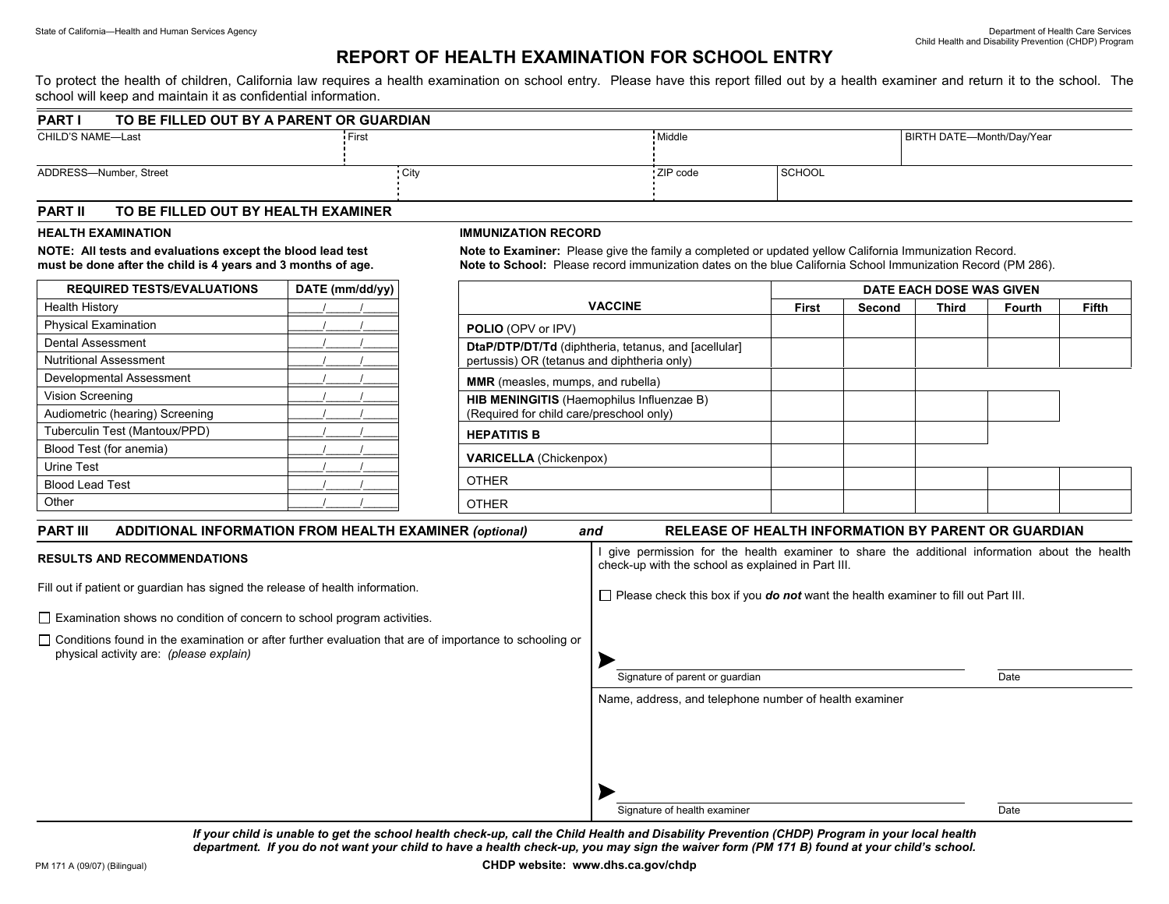## **REPORT OF HEALTH EXAMINATION FOR SCHOOL ENTRY**

To protect the health of children, California law requires a health examination on school entry. Please have this report filled out by a health examiner and return it to the school. The school will keep and maintain it as confidential information.

| <b>PART</b>            | TO BE FILLED OUT BY A PARENT OR GUARDIAN |          |               |                           |  |  |
|------------------------|------------------------------------------|----------|---------------|---------------------------|--|--|
| CHILD'S NAME-Last      | First                                    |          |               | BIRTH DATE-Month/Day/Year |  |  |
| ADDRESS-Number, Street | ∙ City                                   | ZIP code | <b>SCHOOL</b> |                           |  |  |

### **PART II TO BE FILLED OUT BY HEALTH EXAMINER**

#### **HEALTH EXAMINATION**

**NOTE: All tests and evaluations except the blood lead test must be done after the child is 4 years and 3 months of age.** 

| <b>REQUIRED TESTS/EVALUATIONS</b> | DATE (mm/dd/yy) |  |  |  |
|-----------------------------------|-----------------|--|--|--|
| <b>Health History</b>             |                 |  |  |  |
| <b>Physical Examination</b>       |                 |  |  |  |
| <b>Dental Assessment</b>          |                 |  |  |  |
| <b>Nutritional Assessment</b>     |                 |  |  |  |
| Developmental Assessment          |                 |  |  |  |
| Vision Screening                  |                 |  |  |  |
| Audiometric (hearing) Screening   |                 |  |  |  |
| Tuberculin Test (Mantoux/PPD)     |                 |  |  |  |
| Blood Test (for anemia)           |                 |  |  |  |
| Urine Test                        |                 |  |  |  |
| <b>Blood Lead Test</b>            |                 |  |  |  |
| Other                             |                 |  |  |  |

#### **IMMUNIZATION RECORD**

**Note to Examiner:** Please give the family a completed or updated yellow California Immunization Record. **Note to School:** Please record immunization dates on the blue California School Immunization Record (PM 286).

|                                                                                                     | DATE EACH DOSE WAS GIVEN |        |              |               |              |
|-----------------------------------------------------------------------------------------------------|--------------------------|--------|--------------|---------------|--------------|
| <b>VACCINE</b>                                                                                      | <b>First</b>             | Second | <b>Third</b> | <b>Fourth</b> | <b>Fifth</b> |
| <b>POLIO</b> (OPV or IPV)                                                                           |                          |        |              |               |              |
| DtaP/DTP/DT/Td (diphtheria, tetanus, and [acellular]<br>pertussis) OR (tetanus and diphtheria only) |                          |        |              |               |              |
| <b>MMR</b> (measles, mumps, and rubella)                                                            |                          |        |              |               |              |
| HIB MENINGITIS (Haemophilus Influenzae B)<br>(Required for child care/preschool only)               |                          |        |              |               |              |
| <b>HEPATITIS B</b>                                                                                  |                          |        |              |               |              |
| <b>VARICELLA</b> (Chickenpox)                                                                       |                          |        |              |               |              |
| <b>OTHER</b>                                                                                        |                          |        |              |               |              |
| <b>OTHER</b>                                                                                        |                          |        |              |               |              |

| <b>RELEASE OF HEALTH INFORMATION BY PARENT OR GUARDIAN</b><br>and                                                                                   |  |  |  |  |
|-----------------------------------------------------------------------------------------------------------------------------------------------------|--|--|--|--|
| give permission for the health examiner to share the additional information about the health<br>check-up with the school as explained in Part III.  |  |  |  |  |
| $\Box$ Please check this box if you <b>do not</b> want the health examiner to fill out Part III.                                                    |  |  |  |  |
|                                                                                                                                                     |  |  |  |  |
| □ Conditions found in the examination or after further evaluation that are of importance to schooling or<br>Signature of parent or quardian<br>Date |  |  |  |  |
| Name, address, and telephone number of health examiner                                                                                              |  |  |  |  |
| Signature of health examiner<br>Date                                                                                                                |  |  |  |  |
|                                                                                                                                                     |  |  |  |  |

*If your child is unable to get the school health check-up, call the Child Health and Disability Prevention (CHDP) Program in your local health department. If you do not want your child to have a health check-up, you may sign the waiver form (PM 171 B) found at your child's school.*